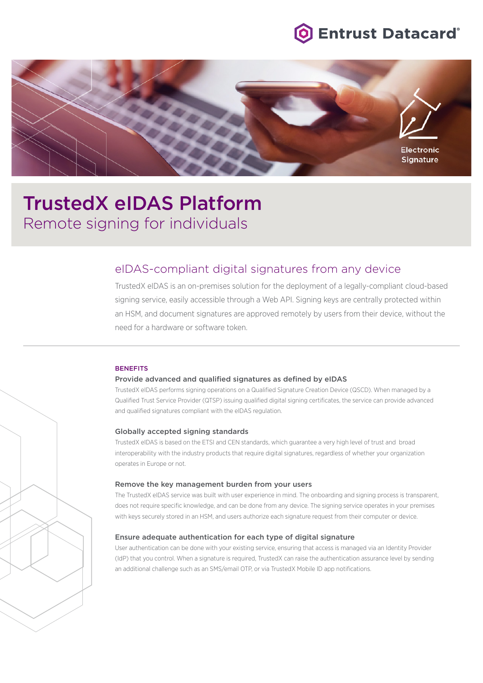



# TrustedX eIDAS Platform Remote signing for individuals

## eIDAS-compliant digital signatures from any device

TrustedX eIDAS is an on-premises solution for the deployment of a legally-compliant cloud-based signing service, easily accessible through a Web API. Signing keys are centrally protected within an HSM, and document signatures are approved remotely by users from their device, without the need for a hardware or software token.

#### **BENEFITS**

## Provide advanced and qualified signatures as defined by eIDAS

TrustedX eIDAS performs signing operations on a Qualified Signature Creation Device (QSCD). When managed by a Qualified Trust Service Provider (QTSP) issuing qualified digital signing certificates, the service can provide advanced and qualified signatures compliant with the eIDAS regulation.

#### Globally accepted signing standards

TrustedX eIDAS is based on the ETSI and CEN standards, which guarantee a very high level of trust and broad interoperability with the industry products that require digital signatures, regardless of whether your organization operates in Europe or not.

#### Remove the key management burden from your users

The TrustedX eIDAS service was built with user experience in mind. The onboarding and signing process is transparent, does not require specific knowledge, and can be done from any device. The signing service operates in your premises with keys securely stored in an HSM, and users authorize each signature request from their computer or device.

#### Ensure adequate authentication for each type of digital signature

User authentication can be done with your existing service, ensuring that access is managed via an Identity Provider (IdP) that you control. When a signature is required, TrustedX can raise the authentication assurance level by sending an additional challenge such as an SMS/email OTP, or via TrustedX Mobile ID app notifications.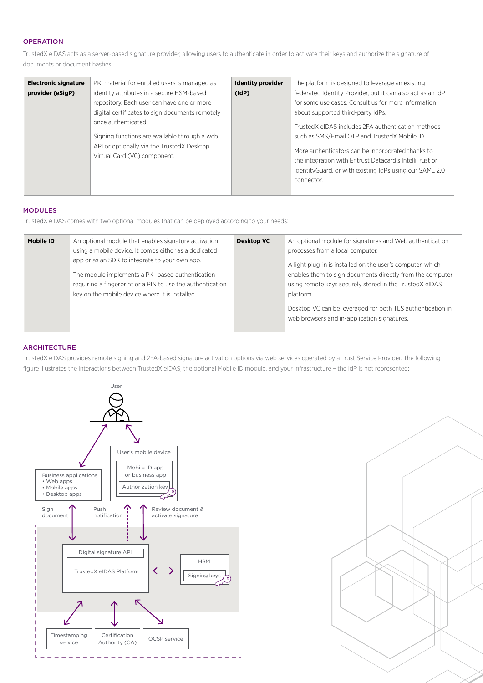## **OPERATION**

TrustedX eIDAS acts as a server-based signature provider, allowing users to authenticate in order to activate their keys and authorize the signature of documents or document hashes.

| <b>Electronic signature</b><br>provider (eSigP) | PKI material for enrolled users is managed as<br>identity attributes in a secure HSM-based<br>repository. Each user can have one or more<br>digital certificates to sign documents remotely<br>once authenticated.<br>Signing functions are available through a web<br>API or optionally via the TrustedX Desktop<br>Virtual Card (VC) component. | <b>Identity provider</b><br>(dP) | The platform is designed to leverage an existing<br>federated Identity Provider, but it can also act as an IdP<br>for some use cases. Consult us for more information<br>about supported third-party IdPs.<br>TrustedX eIDAS includes 2FA authentication methods<br>such as SMS/Email OTP and TrustedX Mobile ID.<br>More authenticators can be incorporated thanks to<br>the integration with Entrust Datacard's IntelliTrust or<br>Identity Guard, or with existing IdPs using our SAML 2.0 |
|-------------------------------------------------|---------------------------------------------------------------------------------------------------------------------------------------------------------------------------------------------------------------------------------------------------------------------------------------------------------------------------------------------------|----------------------------------|-----------------------------------------------------------------------------------------------------------------------------------------------------------------------------------------------------------------------------------------------------------------------------------------------------------------------------------------------------------------------------------------------------------------------------------------------------------------------------------------------|
|                                                 |                                                                                                                                                                                                                                                                                                                                                   |                                  | connector.                                                                                                                                                                                                                                                                                                                                                                                                                                                                                    |

#### MODULES

TrustedX eIDAS comes with two optional modules that can be deployed according to your needs:

| <b>Mobile ID</b> | An optional module that enables signature activation<br>using a mobile device. It comes either as a dedicated | <b>Desktop VC</b> | An optional module for signatures and Web authentication<br>processes from a local computer.              |
|------------------|---------------------------------------------------------------------------------------------------------------|-------------------|-----------------------------------------------------------------------------------------------------------|
|                  | app or as an SDK to integrate to your own app.                                                                |                   | A light plug-in is installed on the user's computer, which                                                |
|                  | The module implements a PKI-based authentication                                                              |                   | enables them to sign documents directly from the computer                                                 |
|                  | requiring a fingerprint or a PIN to use the authentication                                                    |                   | using remote keys securely stored in the TrustedX eIDAS                                                   |
|                  | key on the mobile device where it is installed.                                                               |                   | platform.                                                                                                 |
|                  |                                                                                                               |                   | Desktop VC can be leveraged for both TLS authentication in<br>web browsers and in-application signatures. |
|                  |                                                                                                               |                   |                                                                                                           |

### **ARCHITECTURE**

TrustedX eIDAS provides remote signing and 2FA-based signature activation options via web services operated by a Trust Service Provider. The following figure illustrates the interactions between TrustedX eIDAS, the optional Mobile ID module, and your infrastructure – the IdP is not represented: